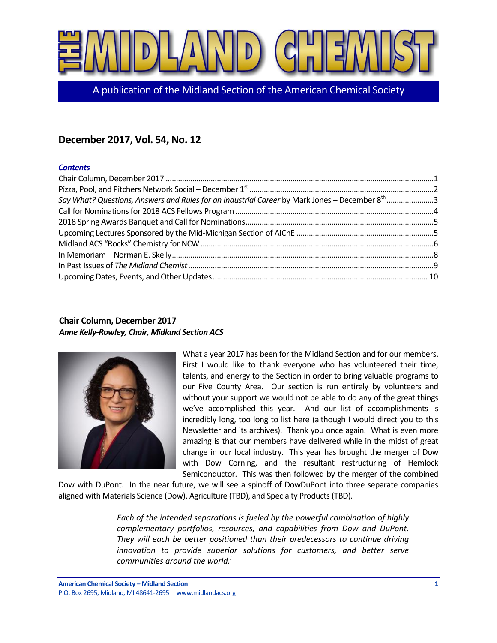

A publication of the Midland Section of the American Chemical Society

# **December 2017, Vol. 54, No. 12**

### *Contents*

| Say What? Questions, Answers and Rules for an Industrial Career by Mark Jones - December 8 <sup>th</sup> 3 |  |
|------------------------------------------------------------------------------------------------------------|--|
|                                                                                                            |  |
|                                                                                                            |  |
|                                                                                                            |  |
|                                                                                                            |  |
|                                                                                                            |  |
|                                                                                                            |  |
|                                                                                                            |  |

## <span id="page-0-0"></span>**Chair Column, December 2017** *Anne Kelly-Rowley, Chair, Midland Section ACS*



What a year 2017 has been for the Midland Section and for our members. First I would like to thank everyone who has volunteered their time, talents, and energy to the Section in order to bring valuable programs to our Five County Area. Our section is run entirely by volunteers and without your support we would not be able to do any of the great things we've accomplished this year. And our list of accomplishments is incredibly long, too long to list here (although I would direct you to this Newsletter and its archives). Thank you once again. What is even more amazing is that our members have delivered while in the midst of great change in our local industry. This year has brought the merger of Dow with Dow Corning, and the resultant restructuring of Hemlock Semiconductor. This was then followed by the merger of the combined

Dow with DuPont. In the near future, we will see a spinoff of DowDuPont into three separate companies aligned with Materials Science (Dow), Agriculture (TBD), and Specialty Products (TBD).

> *Each of the intended separations is fueled by the powerful combination of highly complementary portfolios, resources, and capabilities from Dow and DuPont. They will each be better positioned than their predecessors to continue driving innovation to provide superior solutions for customers, and better serve communities around the world. i*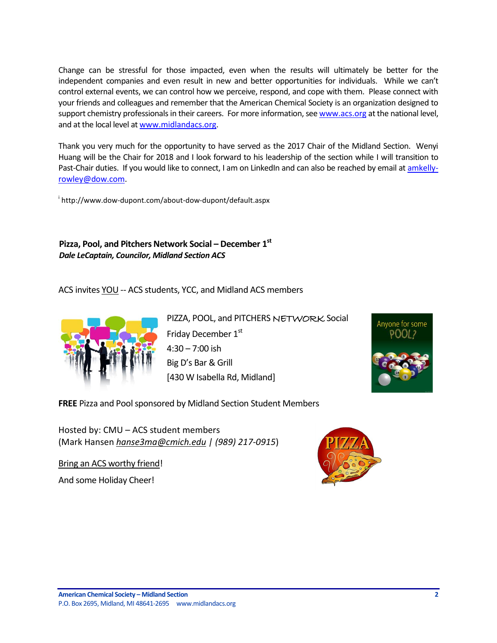Change can be stressful for those impacted, even when the results will ultimately be better for the independent companies and even result in new and better opportunities for individuals. While we can't control external events, we can control how we perceive, respond, and cope with them. Please connect with your friends and colleagues and remember that the American Chemical Society is an organization designed to support chemistry professionals in their careers. For more information, se[e www.acs.org](http://www.acs.org/) at the national level, and at the local level at [www.midlandacs.org.](http://www.midlandacs.org/)

Thank you very much for the opportunity to have served as the 2017 Chair of the Midland Section. Wenyi Huang will be the Chair for 2018 and I look forward to his leadership of the section while I will transition to Past-Chair duties. If you would like to connect, I am on LinkedIn and can also be reached by email at [amkelly](mailto:amkelly-rowley@dow.com)[rowley@dow.com.](mailto:amkelly-rowley@dow.com)

i http://www.dow-dupont.com/about-dow-dupont/default.aspx

# <span id="page-1-0"></span>**Pizza, Pool, and Pitchers Network Social – December 1st** *Dale LeCaptain, Councilor, Midland Section ACS*

ACS invites YOU -- ACS students, YCC, and Midland ACS members



PIZZA, POOL, and PITCHERS NETWORK Social Friday December 1st 4:30 – 7:00 ish Big D's Bar & Grill [430 W Isabella Rd, Midland]



**FREE** Pizza and Pool sponsored by Midland Section Student Members

Hosted by: CMU – ACS student members (Mark Hansen *[hanse3ma@cmich.edu](mailto:hanse3ma@cmich.edu) | (989) 217-0915*)

Bring an ACS worthy friend!

And some Holiday Cheer!

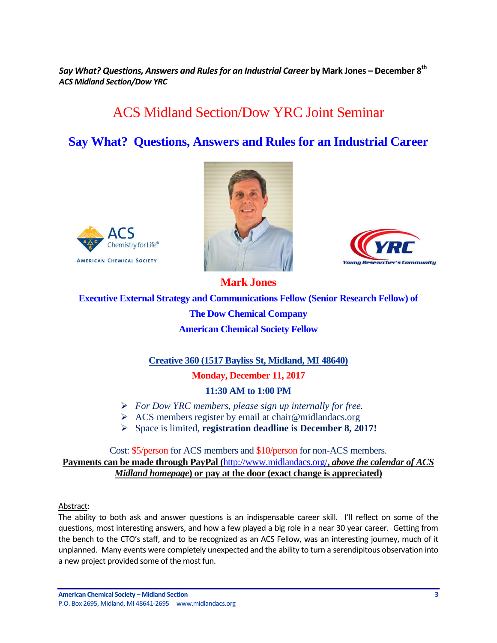<span id="page-2-0"></span>*Say What? Questions, Answers and Rules for an Industrial Career* **by Mark Jones – December 8th** *ACS Midland Section/Dow YRC* 

# ACS Midland Section/Dow YRC Joint Seminar

# **Say What? Questions, Answers and Rules for an Industrial Career**







**Executive External Strategy and Communications Fellow (Senior Research Fellow) of The Dow Chemical Company American Chemical Society Fellow**

**Mark Jones**

**Creative 360 (1517 Bayliss St, Midland, MI 48640)**

**Monday, December 11, 2017**

**11:30 AM to 1:00 PM**

- *For Dow YRC members, please sign up internally for free.*
- $\triangleright$  ACS members register by email at chair@midlandacs.org
- Space is limited, **registration deadline is December 8, 2017!**

## Cost: \$5/person for ACS members and \$10/person for non-ACS members. **Payments can be made through PayPal (**<http://www.midlandacs.org/>**,** *above the calendar of ACS Midland homepage***) or pay at the door (exact change is appreciated)**

Abstract:

The ability to both ask and answer questions is an indispensable career skill. I'll reflect on some of the questions, most interesting answers, and how a few played a big role in a near 30 year career. Getting from the bench to the CTO's staff, and to be recognized as an ACS Fellow, was an interesting journey, much of it unplanned. Many events were completely unexpected and the ability to turn a serendipitous observation into a new project provided some of the most fun.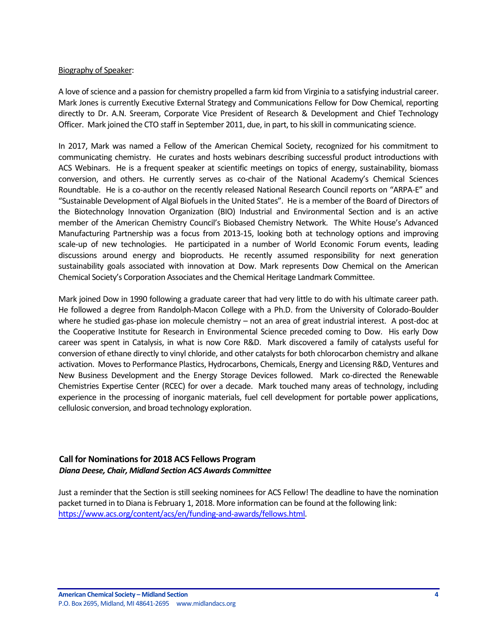#### Biography of Speaker:

A love of science and a passion for chemistry propelled a farm kid from Virginia to a satisfying industrial career. Mark Jones is currently Executive External Strategy and Communications Fellow for Dow Chemical, reporting directly to Dr. A.N. Sreeram, Corporate Vice President of Research & Development and Chief Technology Officer. Mark joined the CTO staff in September 2011, due, in part, to his skill in communicating science.

In 2017, Mark was named a Fellow of the American Chemical Society, recognized for his commitment to communicating chemistry. He curates and hosts webinars describing successful product introductions with ACS Webinars. He is a frequent speaker at scientific meetings on topics of energy, sustainability, biomass conversion, and others. He currently serves as co-chair of the National Academy's Chemical Sciences Roundtable. He is a co-author on the recently released National Research Council reports on "ARPA-E" and "Sustainable Development of Algal Biofuels in the United States". He is a member of the Board of Directors of the Biotechnology Innovation Organization (BIO) Industrial and Environmental Section and is an active member of the American Chemistry Council's Biobased Chemistry Network. The White House's Advanced Manufacturing Partnership was a focus from 2013-15, looking both at technology options and improving scale-up of new technologies. He participated in a number of World Economic Forum events, leading discussions around energy and bioproducts. He recently assumed responsibility for next generation sustainability goals associated with innovation at Dow. Mark represents Dow Chemical on the American Chemical Society's Corporation Associates and the Chemical Heritage Landmark Committee.

Mark joined Dow in 1990 following a graduate career that had very little to do with his ultimate career path. He followed a degree from Randolph-Macon College with a Ph.D. from the University of Colorado-Boulder where he studied gas-phase ion molecule chemistry – not an area of great industrial interest. A post-doc at the Cooperative Institute for Research in Environmental Science preceded coming to Dow. His early Dow career was spent in Catalysis, in what is now Core R&D. Mark discovered a family of catalysts useful for conversion of ethane directly to vinyl chloride, and other catalysts for both chlorocarbon chemistry and alkane activation. Moves to Performance Plastics, Hydrocarbons, Chemicals, Energy and Licensing R&D, Ventures and New Business Development and the Energy Storage Devices followed. Mark co-directed the Renewable Chemistries Expertise Center (RCEC) for over a decade. Mark touched many areas of technology, including experience in the processing of inorganic materials, fuel cell development for portable power applications, cellulosic conversion, and broad technology exploration.

## <span id="page-3-0"></span>**Call for Nominations for 2018 ACS Fellows Program** *Diana Deese, Chair, Midland Section ACS Awards Committee*

Just a reminder that the Section is still seeking nominees for ACS Fellow! The deadline to have the nomination packet turned in to Diana is February 1, 2018. More information can be found at the following link: [https://www.acs.org/content/acs/en/funding-and-awards/fellows.html.](https://www.acs.org/content/acs/en/funding-and-awards/fellows.html)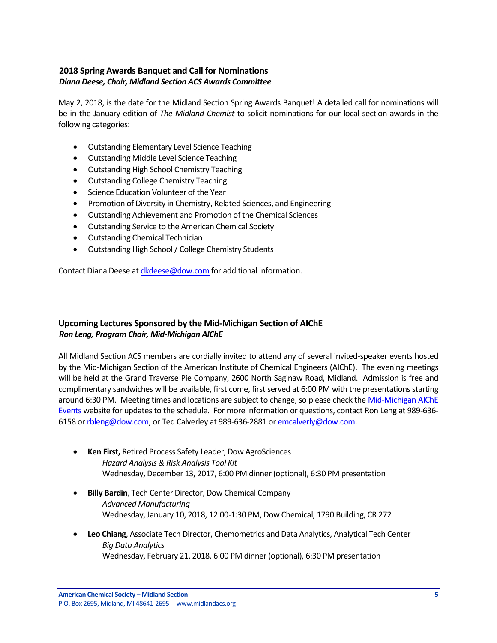## <span id="page-4-0"></span>**2018 Spring Awards Banquet and Call for Nominations** *Diana Deese, Chair, Midland Section ACS Awards Committee*

May 2, 2018, is the date for the Midland Section Spring Awards Banquet! A detailed call for nominations will be in the January edition of *The Midland Chemist* to solicit nominations for our local section awards in the following categories:

- Outstanding Elementary Level Science Teaching
- Outstanding Middle Level Science Teaching
- Outstanding High School Chemistry Teaching
- Outstanding College Chemistry Teaching
- **•** Science Education Volunteer of the Year
- Promotion of Diversity in Chemistry, Related Sciences, and Engineering
- Outstanding Achievement and Promotion of the Chemical Sciences
- Outstanding Service to the American Chemical Society
- Outstanding Chemical Technician
- Outstanding High School / College Chemistry Students

Contact Diana Deese at *dkdeese@dow.com* for additional information.

## <span id="page-4-1"></span>**Upcoming Lectures Sponsored by the Mid-Michigan Section of AIChE** *Ron Leng, Program Chair, Mid-Michigan AIChE*

All Midland Section ACS members are cordially invited to attend any of several invited-speaker events hosted by the Mid-Michigan Section of the American Institute of Chemical Engineers (AIChE). The evening meetings will be held at the Grand Traverse Pie Company, 2600 North Saginaw Road, Midland. Admission is free and complimentary sandwiches will be available, first come, first served at 6:00 PM with the presentations starting around 6:30 PM. Meeting times and locations are subject to change, so please check th[e Mid-Michigan AIChE](https://www.aiche.org/community/sites/local-sections/mid-michigan/events)  [Events](https://www.aiche.org/community/sites/local-sections/mid-michigan/events) website for updates to the schedule. For more information or questions, contact Ron Leng at 989-636- 6158 o[r rbleng@dow.com,](mailto:rbleng@dow.com) or Ted Calverley at 989-636-2881 o[r emcalverly@dow.com.](mailto:emcalverly@dow.com)

- **Ken First,** Retired Process Safety Leader, Dow AgroSciences *Hazard Analysis & Risk Analysis Tool Kit* Wednesday, December 13, 2017, 6:00 PM dinner (optional), 6:30 PM presentation
- **Billy Bardin**, Tech Center Director, Dow Chemical Company *Advanced Manufacturing* Wednesday, January 10, 2018, 12:00-1:30 PM, Dow Chemical, 1790 Building, CR 272
- **Leo Chiang**, Associate Tech Director, Chemometrics and Data Analytics, Analytical Tech Center *Big Data Analytics* Wednesday, February 21, 2018, 6:00 PM dinner (optional), 6:30 PM presentation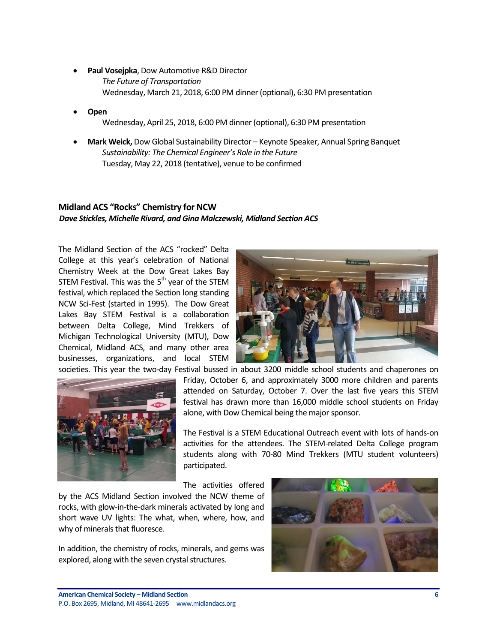- **Paul Vosejpka**, Dow Automotive R&D Director *The Future of Transportation* Wednesday, March 21, 2018, 6:00 PM dinner (optional), 6:30 PM presentation
- **Open** Wednesday, April 25, 2018, 6:00 PM dinner (optional), 6:30 PM presentation
- **Mark Weick,** Dow Global Sustainability Director Keynote Speaker, Annual Spring Banquet *Sustainability: The Chemical Engineer's Role in the Future* Tuesday, May 22, 2018 (tentative), venue to be confirmed

# <span id="page-5-0"></span>**Midland ACS "Rocks" Chemistry for NCW** *Dave Stickles, Michelle Rivard, and Gina Malczewski, Midland Section ACS*

The Midland Section of the ACS "rocked" Delta College at this year's celebration of National Chemistry Week at the Dow Great Lakes Bay STEM Festival. This was the  $5<sup>th</sup>$  year of the STEM festival, which replaced the Section long standing NCW Sci-Fest (started in 1995). The Dow Great Lakes Bay STEM Festival is a collaboration between Delta College, Mind Trekkers of Michigan Technological University (MTU), Dow Chemical, Midland ACS, and many other area businesses, organizations, and local STEM





societies. This year the two-day Festival bussed in about 3200 middle school students and chaperones on Friday, October 6, and approximately 3000 more children and parents attended on Saturday, October 7. Over the last five years this STEM festival has drawn more than 16,000 middle school students on Friday alone, with Dow Chemical being the major sponsor.

> The Festival is a STEM Educational Outreach event with lots of hands-on activities for the attendees. The STEM-related Delta College program students along with 70-80 Mind Trekkers (MTU student volunteers) participated.

The activities offered

by the ACS Midland Section involved the NCW theme of rocks, with glow-in-the-dark minerals activated by long and short wave UV lights: The what, when, where, how, and why of minerals that fluoresce.

In addition, the chemistry of rocks, minerals, and gems was explored, along with the seven crystal structures.

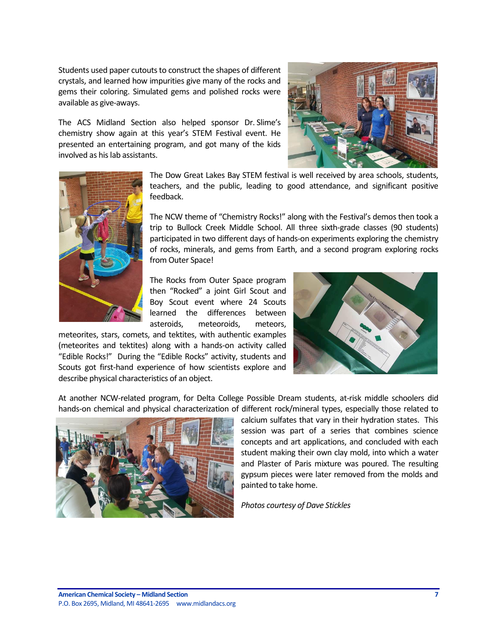Students used paper cutouts to construct the shapes of different crystals, and learned how impurities give many of the rocks and gems their coloring. Simulated gems and polished rocks were available as give-aways.

The ACS Midland Section also helped sponsor Dr. Slime's chemistry show again at this year's STEM Festival event. He presented an entertaining program, and got many of the kids involved as his lab assistants.





The Dow Great Lakes Bay STEM festival is well received by area schools, students, teachers, and the public, leading to good attendance, and significant positive feedback.

The NCW theme of "Chemistry Rocks!" along with the Festival's demos then took a trip to Bullock Creek Middle School. All three sixth-grade classes (90 students) participated in two different days of hands-on experiments exploring the chemistry of rocks, minerals, and gems from Earth, and a second program exploring rocks from Outer Space!

The Rocks from Outer Space program then "Rocked" a joint Girl Scout and Boy Scout event where 24 Scouts learned the differences between asteroids, meteoroids, meteors,

meteorites, stars, comets, and tektites, with authentic examples (meteorites and tektites) along with a hands-on activity called "Edible Rocks!" During the "Edible Rocks" activity, students and Scouts got first-hand experience of how scientists explore and describe physical characteristics of an object.



At another NCW-related program, for Delta College Possible Dream students, at-risk middle schoolers did hands-on chemical and physical characterization of different rock/mineral types, especially those related to



calcium sulfates that vary in their hydration states. This session was part of a series that combines science concepts and art applications, and concluded with each student making their own clay mold, into which a water and Plaster of Paris mixture was poured. The resulting gypsum pieces were later removed from the molds and painted to take home.

*Photos courtesy of Dave Stickles*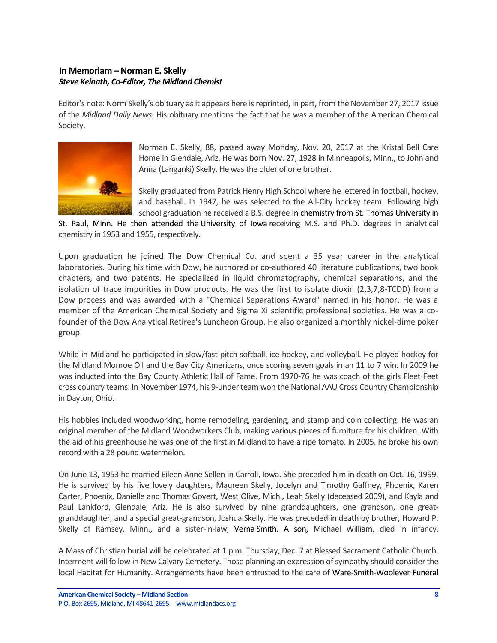## <span id="page-7-0"></span>**In Memoriam – Norman E. Skelly** *Steve Keinath, Co-Editor, The Midland Chemist*

Editor's note: Norm Skelly's obituary as it appears here is reprinted, in part, from the November 27, 2017 issue of the *Midland Daily News*. His obituary mentions the fact that he was a member of the American Chemical Society.



Norman E. Skelly, 88, passed away Monday, Nov. 20, 2017 at the Kristal Bell Care Home in Glendale, Ariz. He was born Nov. 27, 1928 in Minneapolis, Minn., to John and Anna (Langanki) Skelly. He was the older of one brother.

Skelly graduated from Patrick Henry High School where he lettered in football, hockey, and baseball. In 1947, he was selected to the All-City hockey team. Following high school graduation he received a B.S. degree in chemistry from St. Thomas University in

St. Paul, Minn. He then attended the University of Iowa receiving M.S. and Ph.D. degrees in analytical chemistry in 1953 and 1955, respectively.

Upon graduation he joined The Dow Chemical Co. and spent a 35 year career in the analytical laboratories. During his time with Dow, he authored or co-authored 40 literature publications, two book chapters, and two patents. He specialized in liquid chromatography, chemical separations, and the isolation of trace impurities in Dow products. He was the first to isolate dioxin (2,3,7,8-TCDD) from a Dow process and was awarded with a "Chemical Separations Award" named in his honor. He was a member of the American Chemical Society and Sigma Xi scientific professional societies. He was a cofounder of the Dow Analytical Retiree's Luncheon Group. He also organized a monthly nickel-dime poker group.

While in Midland he participated in slow/fast-pitch softball, ice hockey, and volleyball. He played hockey for the Midland Monroe Oil and the Bay City Americans, once scoring seven goals in an 11 to 7 win. In 2009 he was inducted into the Bay County Athletic Hall of Fame. From 1970-76 he was coach of the girls Fleet Feet cross country teams. In November 1974, his 9-under team won the National AAU Cross Country Championship in Dayton, Ohio.

His hobbies included woodworking, home remodeling, gardening, and stamp and coin collecting. He was an original member of the Midland Woodworkers Club, making various pieces of furniture for his children. With the aid of his greenhouse he was one of the first in Midland to have a ripe tomato. In 2005, he broke his own record with a 28 pound watermelon.

On June 13, 1953 he married Eileen Anne Sellen in Carroll, Iowa. She preceded him in death on Oct. 16, 1999. He is survived by his five lovely daughters, Maureen Skelly, Jocelyn and Timothy Gaffney, Phoenix, Karen Carter, Phoenix, Danielle and Thomas Govert, West Olive, Mich., Leah Skelly (deceased 2009), and Kayla and Paul Lankford, Glendale, Ariz. He is also survived by nine granddaughters, one grandson, one greatgranddaughter, and a special great-grandson, Joshua Skelly. He was preceded in death by brother, Howard P. Skelly of Ramsey, Minn., and a sister-in-law, Verna Smith. A son, Michael William, died in infancy.

A Mass of Christian burial will be celebrated at 1 p.m. Thursday, Dec. 7 at Blessed Sacrament Catholic Church. Interment will follow in New Calvary Cemetery. Those planning an expression of sympathy should consider the local Habitat for Humanity. Arrangements have been entrusted to the care of Ware-Smith-Woolever Funeral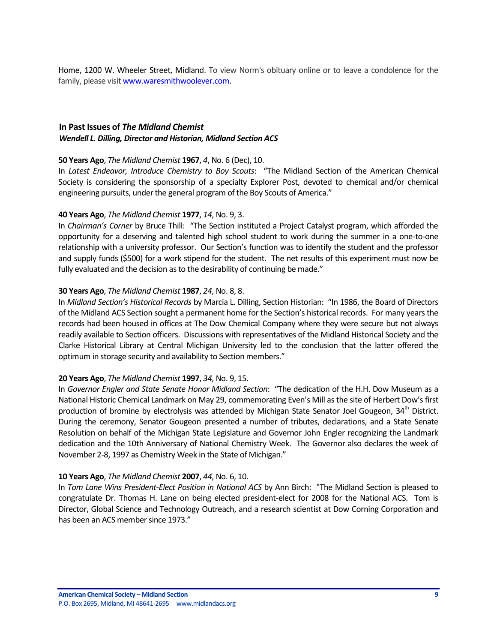Home, 1200 W. Wheeler Street, Midland. To view Norm's obituary online or to leave a condolence for the family, please visi[t www.waresmithwoolever.com.](http://www.waresmithwoolever.com/)

## <span id="page-8-0"></span>**In Past Issues of** *The Midland Chemist Wendell L. Dilling, Director and Historian, Midland Section ACS*

#### **50 Years Ago**, *The Midland Chemist* **1967**, *4*, No. 6 (Dec), 10.

In *Latest Endeavor, Introduce Chemistry to Boy Scouts*: "The Midland Section of the American Chemical Society is considering the sponsorship of a specialty Explorer Post, devoted to chemical and/or chemical engineering pursuits, under the general program of the Boy Scouts of America."

### **40 Years Ago**, *The Midland Chemist* **1977**, *14*, No. 9, 3.

In *Chairman's Corner* by Bruce Thill: "The Section instituted a Project Catalyst program, which afforded the opportunity for a deserving and talented high school student to work during the summer in a one-to-one relationship with a university professor. Our Section's function was to identify the student and the professor and supply funds (\$500) for a work stipend for the student. The net results of this experiment must now be fully evaluated and the decision as to the desirability of continuing be made."

### **30 Years Ago**, *The Midland Chemist* **1987**, *24*, No. 8, 8.

In *Midland Section's Historical Records* by Marcia L. Dilling, Section Historian: "In 1986, the Board of Directors of the Midland ACS Section sought a permanent home for the Section's historical records. For many years the records had been housed in offices at The Dow Chemical Company where they were secure but not always readily available to Section officers. Discussions with representatives of the Midland Historical Society and the Clarke Historical Library at Central Michigan University led to the conclusion that the latter offered the optimum in storage security and availability to Section members."

#### **20 Years Ago**, *The Midland Chemist* **1997**, *34*, No. 9, 15.

In *Governor Engler and State Senate Honor Midland Section*: "The dedication of the H.H. Dow Museum as a National Historic Chemical Landmark on May 29, commemorating Even's Mill as the site of Herbert Dow's first production of bromine by electrolysis was attended by Michigan State Senator Joel Gougeon, 34<sup>th</sup> District. During the ceremony, Senator Gougeon presented a number of tributes, declarations, and a State Senate Resolution on behalf of the Michigan State Legislature and Governor John Engler recognizing the Landmark dedication and the 10th Anniversary of National Chemistry Week. The Governor also declares the week of November 2-8, 1997 as Chemistry Week in the State of Michigan."

#### **10 Years Ago**, *The Midland Chemist* **2007**, *44*, No. 6, 10.

In *Tom Lane Wins President-Elect Position in National ACS* by Ann Birch: "The Midland Section is pleased to congratulate Dr. Thomas H. Lane on being elected president-elect for 2008 for the National ACS. Tom is Director, Global Science and Technology Outreach, and a research scientist at Dow Corning Corporation and has been an ACS member since 1973."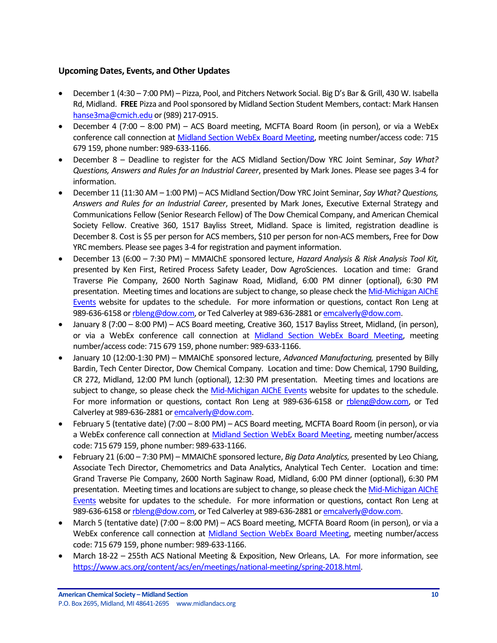## <span id="page-9-0"></span>**Upcoming Dates, Events, and Other Updates**

- December 1 (4:30 7:00 PM) Pizza, Pool, and Pitchers Network Social. Big D's Bar & Grill, 430 W. Isabella Rd, Midland. **FREE** Pizza and Pool sponsored by Midland Section Student Members, contact: Mark Hansen [hanse3ma@cmich.edu](mailto:hanse3ma@cmich.edu) or (989) 217-0915.
- December 4 (7:00 8:00 PM) ACS Board meeting, MCFTA Board Room (in person), or via a WebEx conference call connection a[t Midland Section WebEx Board Meeting,](https://dow.webex.com/mw3000/mywebex/default.do?service=1&main_url=%2Fmc3000%2Fe.do%3Fsiteurl%3Ddow%26AT%3DMI%26EventID%3D538213622%26MTID%3Dm6bd6812daaa9d053419d46f18be71c21%26Host%3DQUhTSwAAAAPRH17xdc850TNaqrXu82wV-x3jpjs_D1dcXCIzwwarRBsk7pqoTNERtE0mHQqtuB7HjPq8_OGpd7FHFnEY78fm0%26FrameSet%3D2&siteurl=dow&nomenu=true) meeting number/access code: 715 679 159, phone number: 989-633-1166.
- December 8 Deadline to register for the ACS Midland Section/Dow YRC Joint Seminar, *Say What? Questions, Answers and Rules for an Industrial Career*, presented by Mark Jones. Please see pages 3-4 for information.
- December 11 (11:30 AM 1:00 PM) ACS Midland Section/Dow YRC Joint Seminar, *Say What? Questions, Answers and Rules for an Industrial Career*, presented by Mark Jones, Executive External Strategy and Communications Fellow (Senior Research Fellow) of The Dow Chemical Company, and American Chemical Society Fellow. Creative 360, 1517 Bayliss Street, Midland. Space is limited, registration deadline is December 8. Cost is \$5 per person for ACS members, \$10 per person for non-ACS members, Free for Dow YRC members. Please see pages 3-4 for registration and payment information.
- December 13 (6:00 7:30 PM) MMAIChE sponsored lecture, *Hazard Analysis & Risk Analysis Tool Kit,* presented by Ken First, Retired Process Safety Leader, Dow AgroSciences. Location and time: Grand Traverse Pie Company, 2600 North Saginaw Road, Midland, 6:00 PM dinner (optional), 6:30 PM presentation. Meeting times and locations are subject to change, so please check th[e Mid-Michigan AIChE](https://www.aiche.org/community/sites/local-sections/mid-michigan/events)  [Events](https://www.aiche.org/community/sites/local-sections/mid-michigan/events) website for updates to the schedule. For more information or questions, contact Ron Leng at 989-636-6158 o[r rbleng@dow.com,](mailto:rbleng@dow.com) or Ted Calverley at 989-636-2881 o[r emcalverly@dow.com.](mailto:emcalverly@dow.com)
- January 8 (7:00 8:00 PM) ACS Board meeting, Creative 360, 1517 Bayliss Street, Midland, (in person), or via a WebEx conference call connection at [Midland Section WebEx Board Meeting,](https://dow.webex.com/mw3000/mywebex/default.do?service=1&main_url=%2Fmc3000%2Fe.do%3Fsiteurl%3Ddow%26AT%3DMI%26EventID%3D538213622%26MTID%3Dm6bd6812daaa9d053419d46f18be71c21%26Host%3DQUhTSwAAAAPRH17xdc850TNaqrXu82wV-x3jpjs_D1dcXCIzwwarRBsk7pqoTNERtE0mHQqtuB7HjPq8_OGpd7FHFnEY78fm0%26FrameSet%3D2&siteurl=dow&nomenu=true) meeting number/access code: 715 679 159, phone number: 989-633-1166.
- January 10 (12:00-1:30 PM) MMAIChE sponsored lecture, *Advanced Manufacturing,* presented by Billy Bardin, Tech Center Director, Dow Chemical Company. Location and time: Dow Chemical, 1790 Building, CR 272, Midland, 12:00 PM lunch (optional), 12:30 PM presentation. Meeting times and locations are subject to change, so please check the [Mid-Michigan AIChE Events](https://www.aiche.org/community/sites/local-sections/mid-michigan/events) website for updates to the schedule. For more information or questions, contact Ron Leng at 989-636-6158 or [rbleng@dow.com,](mailto:rbleng@dow.com) or Ted Calverley at 989-636-2881 o[r emcalverly@dow.com.](mailto:emcalverly@dow.com)
- February 5 (tentative date) (7:00 8:00 PM) ACS Board meeting, MCFTA Board Room (in person), or via a WebEx conference call connection at [Midland Section WebEx Board Meeting,](https://dow.webex.com/mw3000/mywebex/default.do?service=1&main_url=%2Fmc3000%2Fe.do%3Fsiteurl%3Ddow%26AT%3DMI%26EventID%3D538213622%26MTID%3Dm6bd6812daaa9d053419d46f18be71c21%26Host%3DQUhTSwAAAAPRH17xdc850TNaqrXu82wV-x3jpjs_D1dcXCIzwwarRBsk7pqoTNERtE0mHQqtuB7HjPq8_OGpd7FHFnEY78fm0%26FrameSet%3D2&siteurl=dow&nomenu=true) meeting number/access code: 715 679 159, phone number: 989-633-1166.
- February 21 (6:00 7:30 PM) MMAIChE sponsored lecture, *Big Data Analytics,* presented by Leo Chiang, Associate Tech Director, Chemometrics and Data Analytics, Analytical Tech Center. Location and time: Grand Traverse Pie Company, 2600 North Saginaw Road, Midland, 6:00 PM dinner (optional), 6:30 PM presentation. Meeting times and locations are subject to change, so please check th[e Mid-Michigan AIChE](https://www.aiche.org/community/sites/local-sections/mid-michigan/events)  [Events](https://www.aiche.org/community/sites/local-sections/mid-michigan/events) website for updates to the schedule. For more information or questions, contact Ron Leng at 989-636-6158 o[r rbleng@dow.com,](mailto:rbleng@dow.com) or Ted Calverley at 989-636-2881 o[r emcalverly@dow.com.](mailto:emcalverly@dow.com)
- March 5 (tentative date) (7:00 8:00 PM) ACS Board meeting, MCFTA Board Room (in person), or via a WebEx conference call connection at [Midland Section WebEx Board Meeting,](https://dow.webex.com/mw3000/mywebex/default.do?service=1&main_url=%2Fmc3000%2Fe.do%3Fsiteurl%3Ddow%26AT%3DMI%26EventID%3D538213622%26MTID%3Dm6bd6812daaa9d053419d46f18be71c21%26Host%3DQUhTSwAAAAPRH17xdc850TNaqrXu82wV-x3jpjs_D1dcXCIzwwarRBsk7pqoTNERtE0mHQqtuB7HjPq8_OGpd7FHFnEY78fm0%26FrameSet%3D2&siteurl=dow&nomenu=true) meeting number/access code: 715 679 159, phone number: 989-633-1166.
- March 18-22 255th ACS National Meeting & Exposition, New Orleans, LA. For more information, see [https://www.acs.org/content/acs/en/meetings/national-meeting/spring-2018.html.](https://www.acs.org/content/acs/en/meetings/national-meeting/spring-2018.html)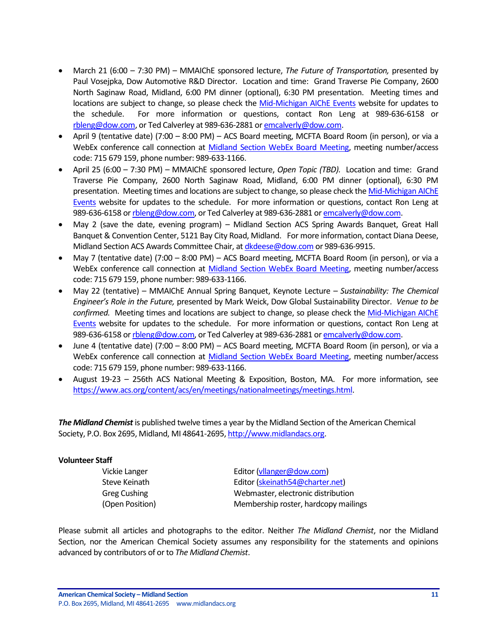- March 21 (6:00 7:30 PM) MMAIChE sponsored lecture, *The Future of Transportation,* presented by Paul Vosejpka, Dow Automotive R&D Director. Location and time: Grand Traverse Pie Company, 2600 North Saginaw Road, Midland, 6:00 PM dinner (optional), 6:30 PM presentation. Meeting times and locations are subject to change, so please check the [Mid-Michigan AIChE Events](https://www.aiche.org/community/sites/local-sections/mid-michigan/events) website for updates to the schedule. For more information or questions, contact Ron Leng at 989-636-6158 or [rbleng@dow.com,](mailto:rbleng@dow.com) or Ted Calverley at 989-636-2881 o[r emcalverly@dow.com.](mailto:emcalverly@dow.com)
- April 9 (tentative date) (7:00 8:00 PM) ACS Board meeting, MCFTA Board Room (in person), or via a WebEx conference call connection at [Midland Section WebEx Board Meeting,](https://dow.webex.com/mw3000/mywebex/default.do?service=1&main_url=%2Fmc3000%2Fe.do%3Fsiteurl%3Ddow%26AT%3DMI%26EventID%3D538213622%26MTID%3Dm6bd6812daaa9d053419d46f18be71c21%26Host%3DQUhTSwAAAAPRH17xdc850TNaqrXu82wV-x3jpjs_D1dcXCIzwwarRBsk7pqoTNERtE0mHQqtuB7HjPq8_OGpd7FHFnEY78fm0%26FrameSet%3D2&siteurl=dow&nomenu=true) meeting number/access code: 715 679 159, phone number: 989-633-1166.
- April 25 (6:00 7:30 PM) MMAIChE sponsored lecture, *Open Topic (TBD).* Location and time: Grand Traverse Pie Company, 2600 North Saginaw Road, Midland, 6:00 PM dinner (optional), 6:30 PM presentation. Meeting times and locations are subject to change, so please check the Mid-Michigan AIChE [Events](https://www.aiche.org/community/sites/local-sections/mid-michigan/events) website for updates to the schedule. For more information or questions, contact Ron Leng at 989-636-6158 o[r rbleng@dow.com,](mailto:rbleng@dow.com) or Ted Calverley at 989-636-2881 o[r emcalverly@dow.com.](mailto:emcalverly@dow.com)
- May 2 (save the date, evening program) Midland Section ACS Spring Awards Banquet, Great Hall Banquet & Convention Center, 5121 Bay City Road, Midland. For more information, contact Diana Deese, Midland Section ACS Awards Committee Chair, a[t dkdeese@dow.com](mailto:dkdeese@dow.com) or 989-636-9915.
- May 7 (tentative date) (7:00 8:00 PM) ACS Board meeting, MCFTA Board Room (in person), or via a WebEx conference call connection at [Midland Section WebEx Board Meeting,](https://dow.webex.com/mw3000/mywebex/default.do?service=1&main_url=%2Fmc3000%2Fe.do%3Fsiteurl%3Ddow%26AT%3DMI%26EventID%3D538213622%26MTID%3Dm6bd6812daaa9d053419d46f18be71c21%26Host%3DQUhTSwAAAAPRH17xdc850TNaqrXu82wV-x3jpjs_D1dcXCIzwwarRBsk7pqoTNERtE0mHQqtuB7HjPq8_OGpd7FHFnEY78fm0%26FrameSet%3D2&siteurl=dow&nomenu=true) meeting number/access code: 715 679 159, phone number: 989-633-1166.
- May 22 (tentative) MMAIChE Annual Spring Banquet, Keynote Lecture *Sustainability: The Chemical Engineer's Role in the Future,* presented by Mark Weick, Dow Global Sustainability Director. *Venue to be confirmed.* Meeting times and locations are subject to change, so please check the [Mid-Michigan AIChE](https://www.aiche.org/community/sites/local-sections/mid-michigan/events)  [Events](https://www.aiche.org/community/sites/local-sections/mid-michigan/events) website for updates to the schedule. For more information or questions, contact Ron Leng at 989-636-6158 o[r rbleng@dow.com,](mailto:rbleng@dow.com) or Ted Calverley at 989-636-2881 o[r emcalverly@dow.com.](mailto:emcalverly@dow.com)
- June 4 (tentative date) (7:00 8:00 PM) ACS Board meeting, MCFTA Board Room (in person), or via a WebEx conference call connection at [Midland Section WebEx Board Meeting,](https://dow.webex.com/mw3000/mywebex/default.do?service=1&main_url=%2Fmc3000%2Fe.do%3Fsiteurl%3Ddow%26AT%3DMI%26EventID%3D538213622%26MTID%3Dm6bd6812daaa9d053419d46f18be71c21%26Host%3DQUhTSwAAAAPRH17xdc850TNaqrXu82wV-x3jpjs_D1dcXCIzwwarRBsk7pqoTNERtE0mHQqtuB7HjPq8_OGpd7FHFnEY78fm0%26FrameSet%3D2&siteurl=dow&nomenu=true) meeting number/access code: 715 679 159, phone number: 989-633-1166.
- August 19-23 256th ACS National Meeting & Exposition, Boston, MA. For more information, see [https://www.acs.org/content/acs/en/meetings/nationalmeetings/meetings.html.](https://www.acs.org/content/acs/en/meetings/nationalmeetings/meetings.html)

*The Midland Chemist* is published twelve times a year by the Midland Section of the American Chemical Society, P.O. Box 2695, Midland, MI 48641-2695[, http://www.midlandacs.org.](http://www.midlandacs.org/)

#### **Volunteer Staff**

Vickie Langer **Editor** [\(vllanger@dow.com\)](mailto:vllanger@dow.com) Steve Keinath Editor [\(skeinath54@charter.net\)](mailto:skeinath54@charter.net) Greg Cushing **Case Cushing** Webmaster, electronic distribution (Open Position) Membership roster, hardcopy mailings

Please submit all articles and photographs to the editor. Neither *The Midland Chemist*, nor the Midland Section, nor the American Chemical Society assumes any responsibility for the statements and opinions advanced by contributors of or to *The Midland Chemist*.